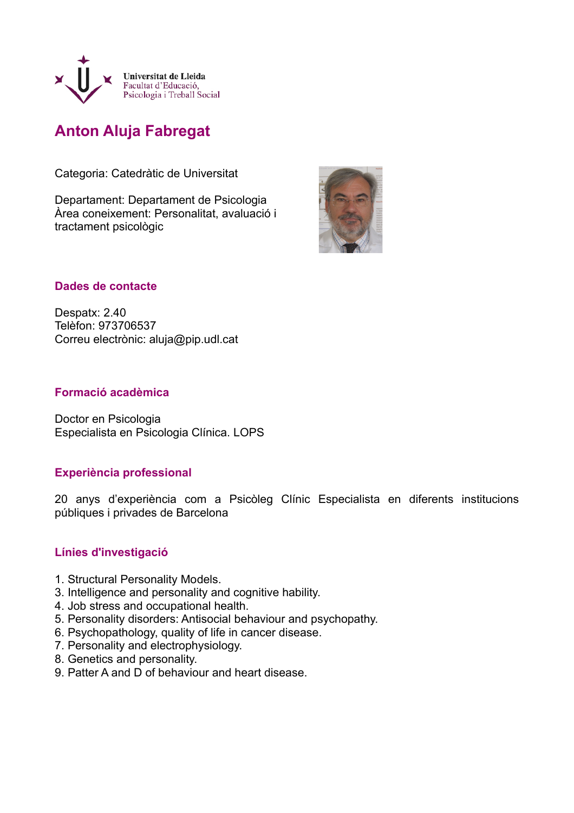

# **Anton Aluja Fabregat**

Categoria: Catedràtic de Universitat

Departament: Departament de Psicologia Àrea coneixement: Personalitat, avaluació i tractament psicològic



# **Dades de contacte**

Despatx: 2.40 Telèfon: 973706537 Correu electrònic: aluja@pip.udl.cat

### **Formació acadèmica**

Doctor en Psicologia Especialista en Psicologia Clínica. LOPS

# **Experiència professional**

20 anys d'experiència com a Psicòleg Clínic Especialista en diferents institucions públiques i privades de Barcelona

# **Línies d'investigació**

- 1. Structural Personality Models.
- 3. Intelligence and personality and cognitive hability.
- 4. Job stress and occupational health.
- 5. Personality disorders: Antisocial behaviour and psychopathy.
- 6. Psychopathology, quality of life in cancer disease.
- 7. Personality and electrophysiology.
- 8. Genetics and personality.
- 9. Patter A and D of behaviour and heart disease.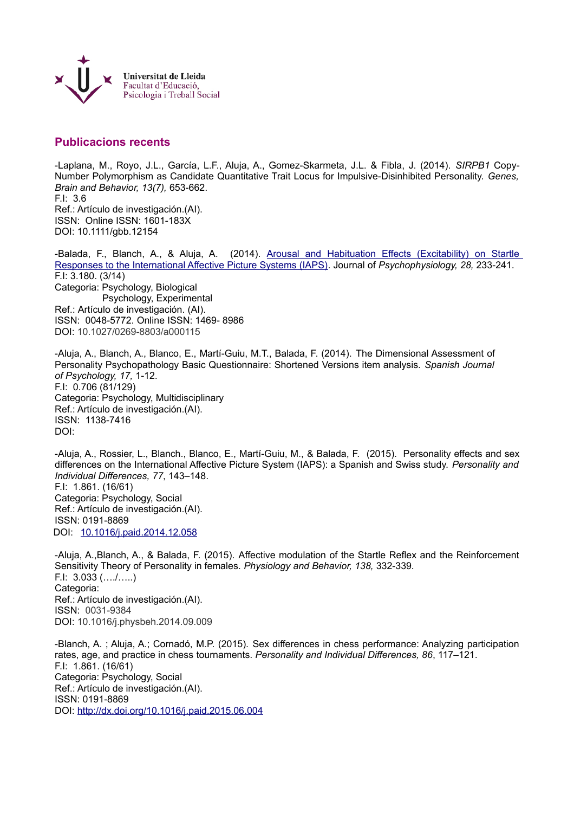

### **Publicacions recents**

-Laplana, M., Royo, J.L., García, L.F., Aluja, A., Gomez-Skarmeta, J.L. & Fibla, J. (2014). *SIRPB1* Copy-Number Polymorphism as Candidate Quantitative Trait Locus for Impulsive-Disinhibited Personality. *Genes, Brain and Behavior, 13(7),* 653-662. F.I: 3.6 Ref.: Artículo de investigación.(AI). ISSN: Online ISSN: 1601-183X DOI: 10.1111/gbb.12154

-Balada, F., Blanch, A., & Aluja, A. (2014). [Arousal and Habituation Effects \(Excitability\) on Startle](javascript:openGatewayLink() [Responses to the International Affective Picture Systems \(IAPS\).](javascript:openGatewayLink() Journal of *Psychophysiology, 28,* 233-241. F.I: 3.180. (3/14) Categoria: Psychology, Biological Psychology, Experimental Ref.: Artículo de investigación. (AI). ISSN: 0048-5772. Online ISSN: 1469- 8986 DOI: 10.1027/0269-8803/a000115

-Aluja, A., Blanch, A., Blanco, E., Martí-Guiu, M.T., Balada, F. (2014). The Dimensional Assessment of Personality Psychopathology Basic Questionnaire: Shortened Versions item analysis. *Spanish Journal of Psychology, 17,* 1-12. F.I: 0.706 (81/129) Categoria: Psychology, Multidisciplinary Ref.: Artículo de investigación.(AI). ISSN: 1138-7416 DOI:

-Aluja, A., Rossier, L., Blanch., Blanco, E., Martí-Guiu, M., & Balada, F. (2015). Personality effects and sex differences on the International Affective Picture System (IAPS): a Spanish and Swiss study. *Personality and Individual Differences, 77*, 143–148. F.I: 1.861. (16/61) Categoria: Psychology, Social Ref.: Artículo de investigación.(AI). ISSN: 0191-8869 DOI: [10.1016/j.paid.2014.12.058](http://dx.doi.org/10.1016%2Fj.paid.2014.12.058)

-Aluja, A.,Blanch, A., & Balada, F. (2015). Affective modulation of the Startle Reflex and the Reinforcement Sensitivity Theory of Personality in females. *Physiology and Behavior, 138,* 332-339*.* F.I: 3.033 (…./…..) Categoria: Ref.: Artículo de investigación.(AI). ISSN: 0031-9384 DOI: 10.1016/j.physbeh.2014.09.009

-Blanch, A. ; Aluja, A.; Cornadó, M.P. (2015). Sex differences in chess performance: Analyzing participation rates, age, and practice in chess tournaments. *Personality and Individual Differences, 86*, 117–121. F.I: 1.861. (16/61) Categoria: Psychology, Social Ref.: Artículo de investigación.(AI). ISSN: 0191-8869 DOI:<http://dx.doi.org/10.1016/j.paid.2015.06.004>